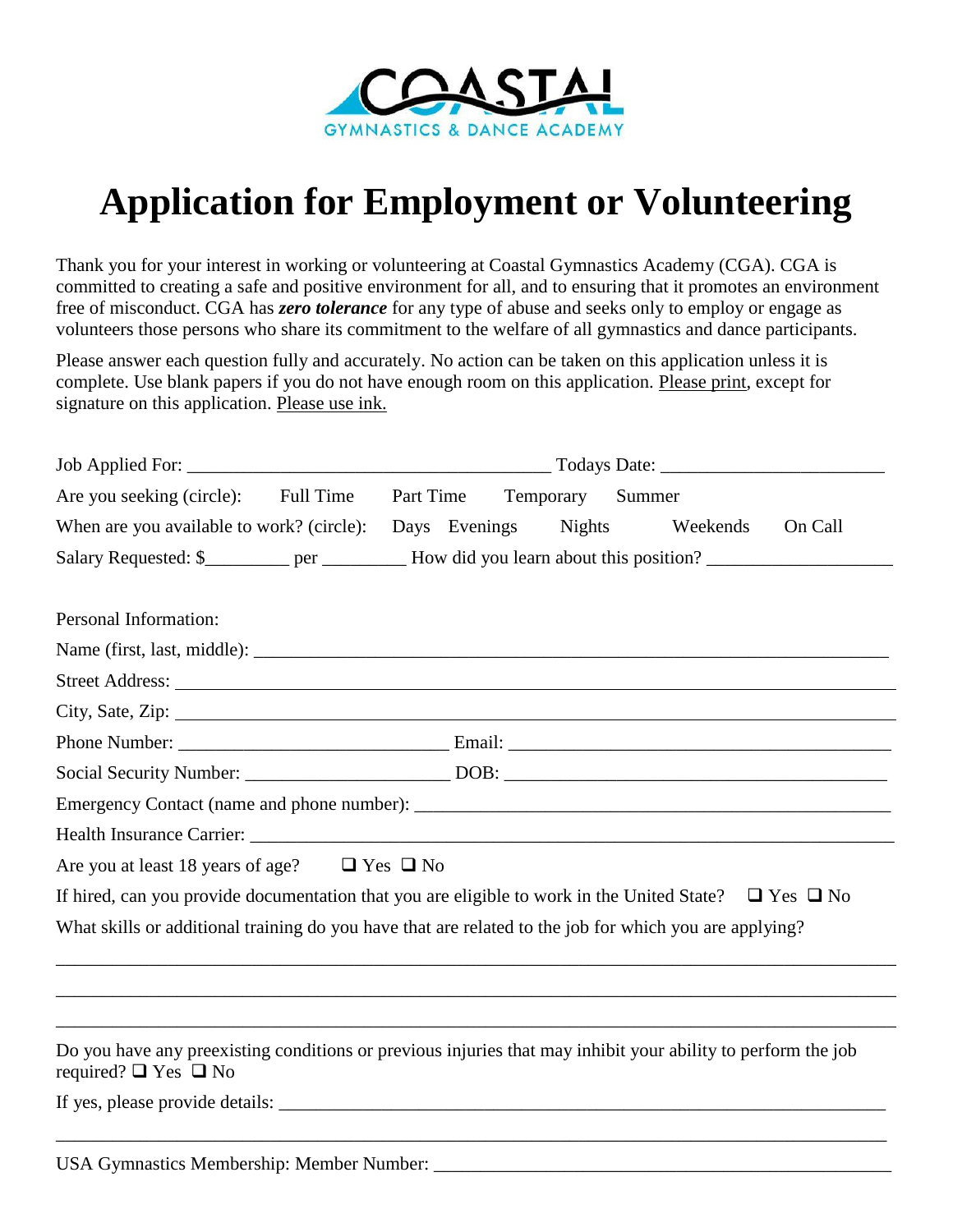

# **Application for Employment or Volunteering**

Thank you for your interest in working or volunteering at Coastal Gymnastics Academy (CGA). CGA is committed to creating a safe and positive environment for all, and to ensuring that it promotes an environment free of misconduct. CGA has *zero tolerance* for any type of abuse and seeks only to employ or engage as volunteers those persons who share its commitment to the welfare of all gymnastics and dance participants.

Please answer each question fully and accurately. No action can be taken on this application unless it is complete. Use blank papers if you do not have enough room on this application. Please print, except for signature on this application. Please use ink.

| Are you seeking (circle): Full Time                                                                                                            |  | Part Time Temporary Summer |                    |         |
|------------------------------------------------------------------------------------------------------------------------------------------------|--|----------------------------|--------------------|---------|
| When are you available to work? (circle): Days Evenings                                                                                        |  |                            | Nights<br>Weekends | On Call |
| Salary Requested: \$_________ per __________ How did you learn about this position? _________________                                          |  |                            |                    |         |
| Personal Information:                                                                                                                          |  |                            |                    |         |
|                                                                                                                                                |  |                            |                    |         |
|                                                                                                                                                |  |                            |                    |         |
|                                                                                                                                                |  |                            |                    |         |
|                                                                                                                                                |  |                            |                    |         |
|                                                                                                                                                |  |                            |                    |         |
|                                                                                                                                                |  |                            |                    |         |
|                                                                                                                                                |  |                            |                    |         |
| Are you at least 18 years of age? $\Box$ Yes $\Box$ No                                                                                         |  |                            |                    |         |
| If hired, can you provide documentation that you are eligible to work in the United State? $\Box$ Yes $\Box$ No                                |  |                            |                    |         |
| What skills or additional training do you have that are related to the job for which you are applying?                                         |  |                            |                    |         |
|                                                                                                                                                |  |                            |                    |         |
|                                                                                                                                                |  |                            |                    |         |
|                                                                                                                                                |  |                            |                    |         |
| Do you have any preexisting conditions or previous injuries that may inhibit your ability to perform the job<br>required? $\Box$ Yes $\Box$ No |  |                            |                    |         |
|                                                                                                                                                |  |                            |                    |         |
|                                                                                                                                                |  |                            |                    |         |

USA Gymnastics Membership: Member Number: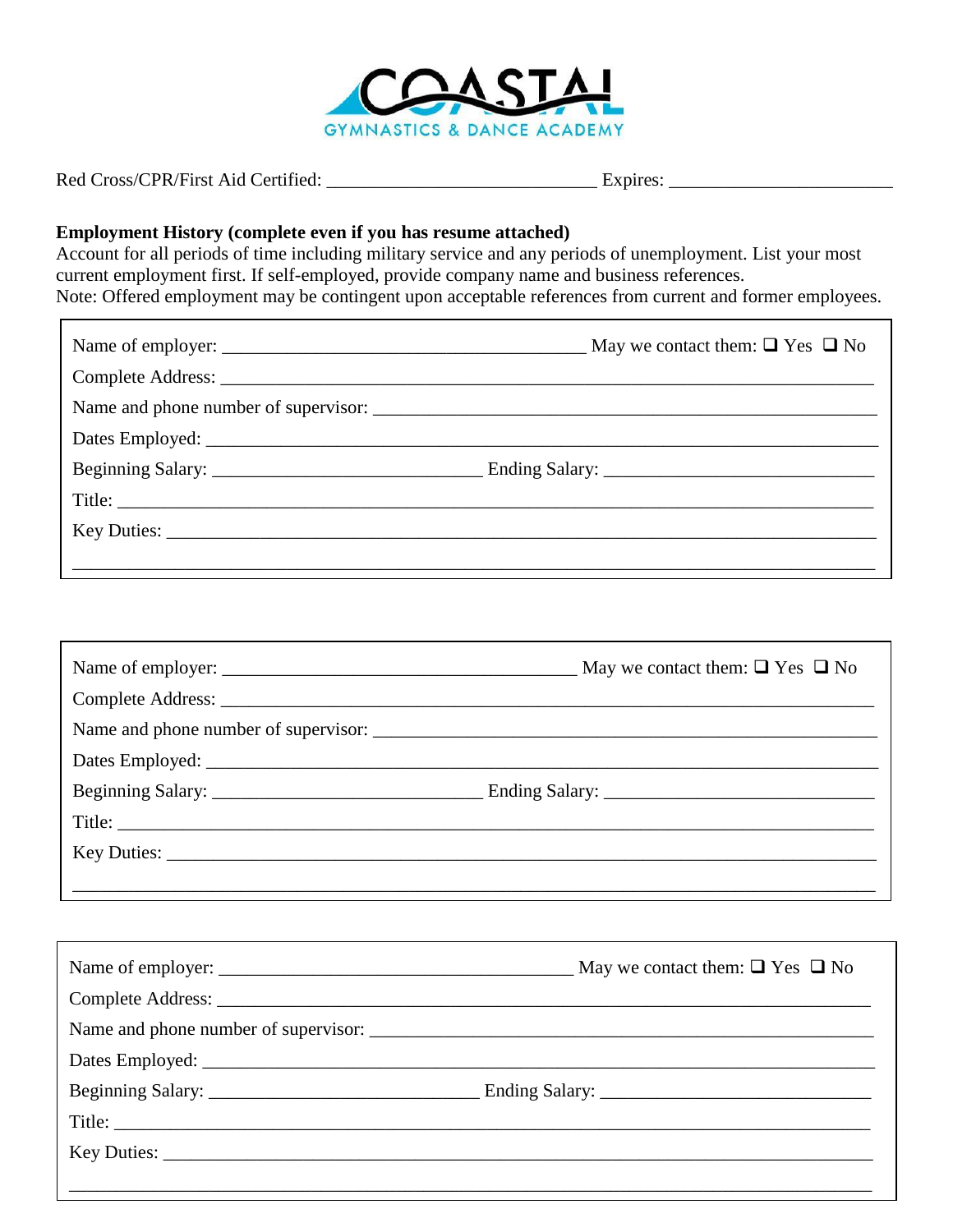

# Employment History (complete even if you has resume attached)

Account for all periods of time including military service and any periods of unemployment. List your most current employment first. If self-employed, provide company name and business references. Note: Offered employment may be contingent upon acceptable references from current and former employees.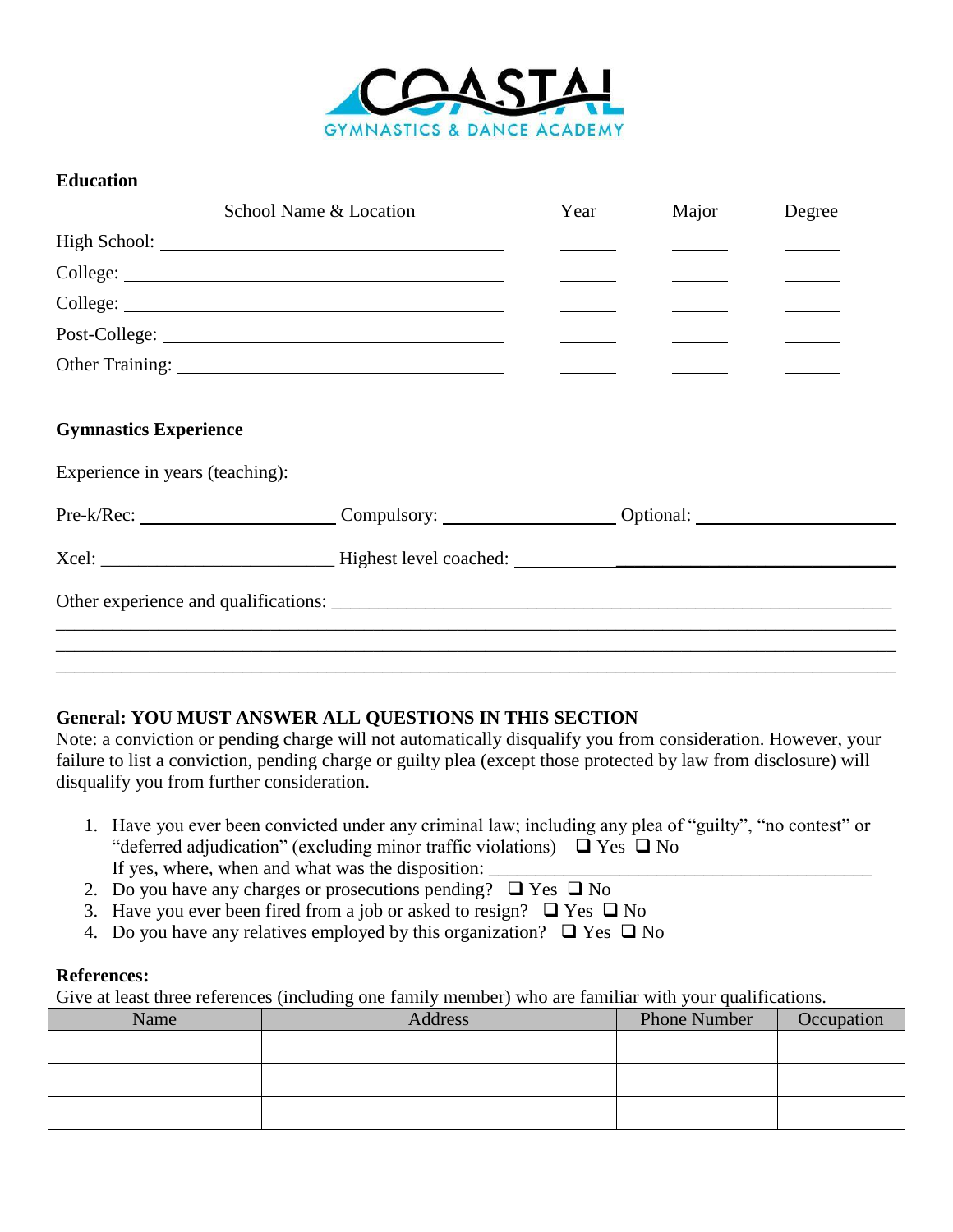

### **Education**

| School Name & Location                       | Year | Major | Degree |
|----------------------------------------------|------|-------|--------|
|                                              |      |       |        |
|                                              |      |       |        |
|                                              |      |       |        |
|                                              |      |       |        |
|                                              |      |       |        |
| <b>Gymnastics Experience</b>                 |      |       |        |
| Experience in years (teaching):              |      |       |        |
| Pre-k/Rec: Compulsory: Compulsory: Optional: |      |       |        |
|                                              |      |       |        |
|                                              |      |       |        |
|                                              |      |       |        |
|                                              |      |       |        |

## **General: YOU MUST ANSWER ALL QUESTIONS IN THIS SECTION**

Note: a conviction or pending charge will not automatically disqualify you from consideration. However, your failure to list a conviction, pending charge or guilty plea (except those protected by law from disclosure) will disqualify you from further consideration.

- 1. Have you ever been convicted under any criminal law; including any plea of "guilty", "no contest" or "deferred adjudication" (excluding minor traffic violations)  $\Box$  Yes  $\Box$  No If yes, where, when and what was the disposition:
- 2. Do you have any charges or prosecutions pending?  $\Box$  Yes  $\Box$  No
- 3. Have you ever been fired from a job or asked to resign?  $\Box$  Yes  $\Box$  No
- 4. Do you have any relatives employed by this organization?  $\Box$  Yes  $\Box$  No

#### **References:**

Give at least three references (including one family member) who are familiar with your qualifications.

| Name | Address | <b>Phone Number</b> | Occupation |
|------|---------|---------------------|------------|
|      |         |                     |            |
|      |         |                     |            |
|      |         |                     |            |
|      |         |                     |            |
|      |         |                     |            |
|      |         |                     |            |